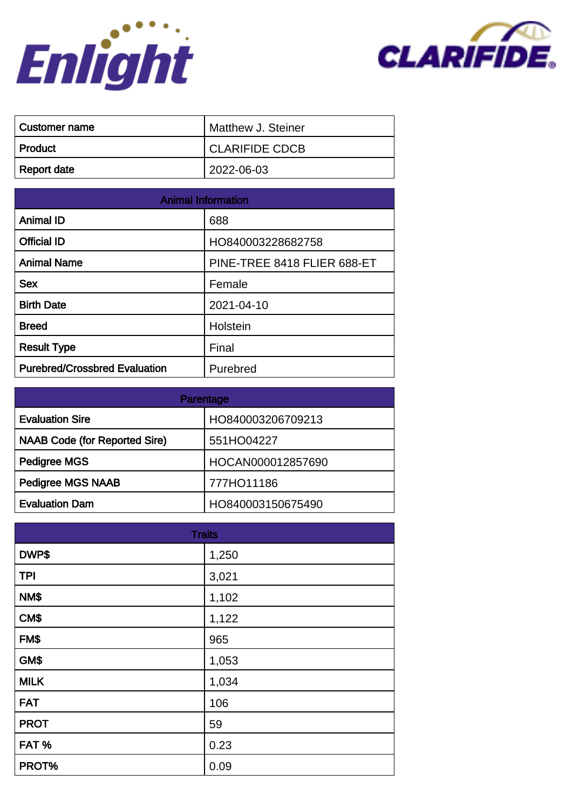



| ∣ Customer name | Matthew J. Steiner    |
|-----------------|-----------------------|
| ∣ Product       | <b>CLARIFIDE CDCB</b> |
| Report date     | 2022-06-03            |

| <b>Animal Information</b>            |                             |
|--------------------------------------|-----------------------------|
| <b>Animal ID</b>                     | 688                         |
| <b>Official ID</b>                   | HO840003228682758           |
| <b>Animal Name</b>                   | PINE-TREE 8418 FLIER 688-ET |
| <b>Sex</b>                           | Female                      |
| <b>Birth Date</b>                    | 2021-04-10                  |
| <b>Breed</b>                         | Holstein                    |
| <b>Result Type</b>                   | Final                       |
| <b>Purebred/Crossbred Evaluation</b> | Purebred                    |

| Parentage                            |                   |
|--------------------------------------|-------------------|
| <b>Evaluation Sire</b>               | HO840003206709213 |
| <b>NAAB Code (for Reported Sire)</b> | 551HO04227        |
| Pedigree MGS                         | HOCAN000012857690 |
| <b>Pedigree MGS NAAB</b>             | 777HO11186        |
| <b>Evaluation Dam</b>                | HO840003150675490 |

| <b>Traits</b> |       |
|---------------|-------|
| DWP\$         | 1,250 |
| <b>TPI</b>    | 3,021 |
| NM\$          | 1,102 |
| CM\$          | 1,122 |
| FM\$          | 965   |
| GM\$          | 1,053 |
| <b>MILK</b>   | 1,034 |
| <b>FAT</b>    | 106   |
| <b>PROT</b>   | 59    |
| FAT%          | 0.23  |
| PROT%         | 0.09  |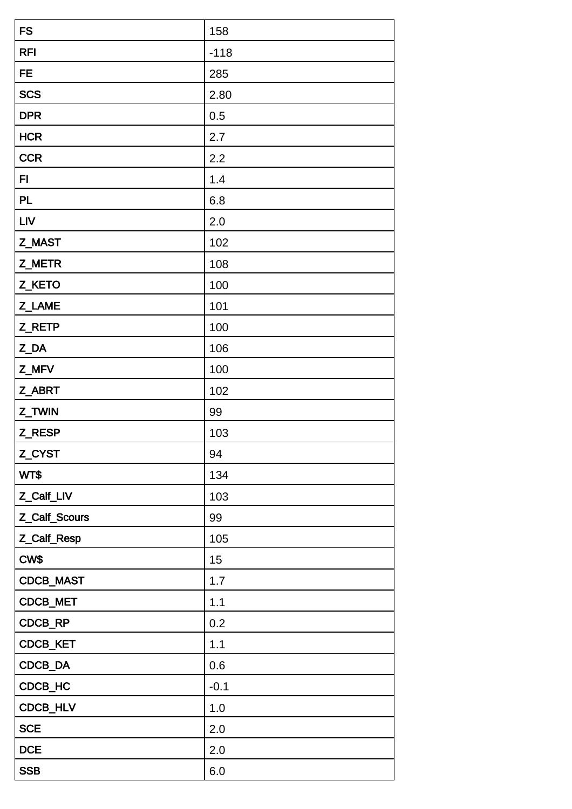| <b>FS</b>     | 158    |
|---------------|--------|
| <b>RFI</b>    | $-118$ |
| <b>FE</b>     | 285    |
| <b>SCS</b>    | 2.80   |
| <b>DPR</b>    | 0.5    |
| <b>HCR</b>    | 2.7    |
| <b>CCR</b>    | 2.2    |
| FI            | 1.4    |
| <b>PL</b>     | 6.8    |
| <b>LIV</b>    | 2.0    |
| Z_MAST        | 102    |
| Z_METR        | 108    |
| Z_KETO        | 100    |
| Z_LAME        | 101    |
| Z_RETP        | 100    |
| Z_DA          | 106    |
| Z_MFV         | 100    |
| Z_ABRT        | 102    |
| Z_TWIN        | 99     |
| Z_RESP        | 103    |
| Z_CYST        | 94     |
| WT\$          | 134    |
| Z_Calf_LIV    | 103    |
| Z_Calf_Scours | 99     |
| Z_Calf_Resp   | 105    |
| CW\$          | 15     |
| CDCB_MAST     | 1.7    |
| CDCB_MET      | 1.1    |
| CDCB_RP       | 0.2    |
| CDCB_KET      | 1.1    |
| CDCB_DA       | 0.6    |
| CDCB_HC       | $-0.1$ |
| CDCB_HLV      | 1.0    |
| <b>SCE</b>    | 2.0    |
| <b>DCE</b>    | 2.0    |
| <b>SSB</b>    | 6.0    |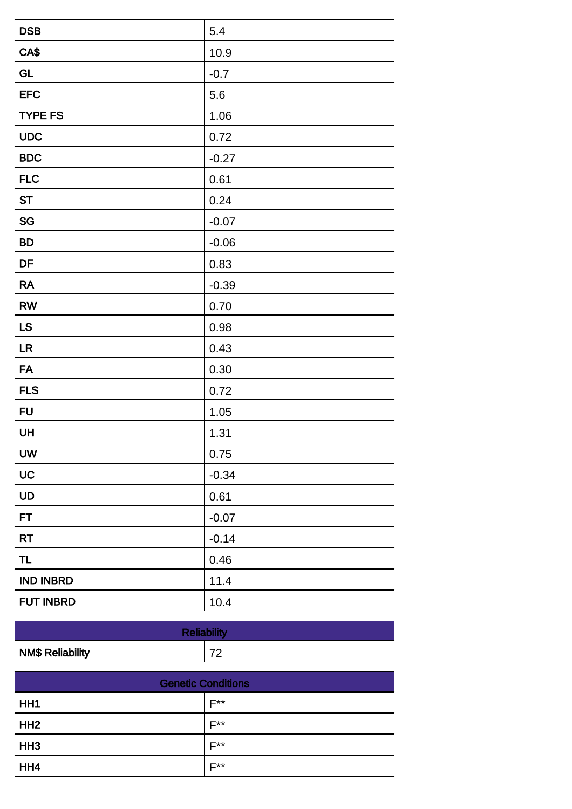| <b>DSB</b>       | 5.4     |
|------------------|---------|
| CA\$             | 10.9    |
| <b>GL</b>        | $-0.7$  |
| <b>EFC</b>       | 5.6     |
| <b>TYPE FS</b>   | 1.06    |
| <b>UDC</b>       | 0.72    |
| <b>BDC</b>       | $-0.27$ |
| <b>FLC</b>       | 0.61    |
| <b>ST</b>        | 0.24    |
| SG               | $-0.07$ |
| <b>BD</b>        | $-0.06$ |
| DF               | 0.83    |
| <b>RA</b>        | $-0.39$ |
| <b>RW</b>        | 0.70    |
| LS               | 0.98    |
| LR               | 0.43    |
| <b>FA</b>        | 0.30    |
| <b>FLS</b>       | 0.72    |
| <b>FU</b>        | 1.05    |
| <b>UH</b>        | 1.31    |
| UW               | 0.75    |
| UC               | $-0.34$ |
| UD               | 0.61    |
| FT               | $-0.07$ |
| <b>RT</b>        | $-0.14$ |
| <b>TL</b>        | 0.46    |
| <b>IND INBRD</b> | 11.4    |
| <b>FUT INBRD</b> | 10.4    |

| <b>Reliability</b>      |   |
|-------------------------|---|
| <b>NM\$ Reliability</b> | ⇁ |

| <b>Genetic Conditions</b> |                  |
|---------------------------|------------------|
| HH <sub>1</sub>           | $F^{\star\star}$ |
| HH2                       | <b>E**</b>       |
| HH <sub>3</sub>           | $F^{\star\star}$ |
| HH4                       | <b>E**</b>       |